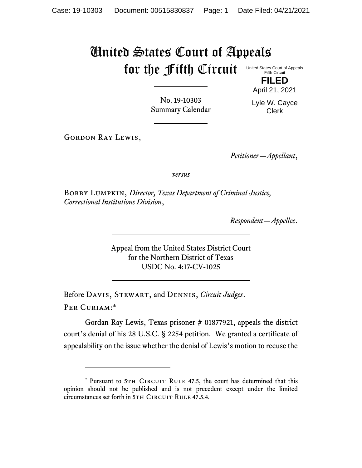## United States Court of Appeals for the Fifth Circuit

United States Court of Appeals Fifth Circuit **FILED**

April 21, 2021

No. 19-10303 Summary Calendar Lyle W. Cayce Clerk

GORDON RAY LEWIS,

*Petitioner—Appellant*,

*versus*

Bobby Lumpkin, *Director, Texas Department of Criminal Justice, Correctional Institutions Division*,

*Respondent—Appellee*.

Appeal from the United States District Court for the Northern District of Texas USDC No. 4:17-CV-1025

Before Davis, Stewart, and Dennis, *Circuit Judges*. Per Curiam:\*

Gordan Ray Lewis, Texas prisoner # 01877921, appeals the district court's denial of his 28 U.S.C. § 2254 petition. We granted a certificate of appealability on the issue whether the denial of Lewis's motion to recuse the

<sup>\*</sup> Pursuant to 5TH CIRCUIT RULE 47.5, the court has determined that this opinion should not be published and is not precedent except under the limited circumstances set forth in 5TH CIRCUIT RULE 47.5.4.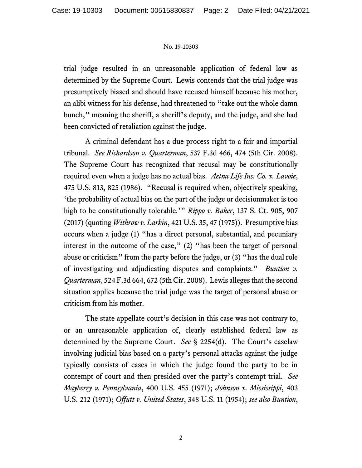## No. 19-10303

trial judge resulted in an unreasonable application of federal law as determined by the Supreme Court. Lewis contends that the trial judge was presumptively biased and should have recused himself because his mother, an alibi witness for his defense, had threatened to "take out the whole damn bunch," meaning the sheriff, a sheriff's deputy, and the judge, and she had been convicted of retaliation against the judge.

A criminal defendant has a due process right to a fair and impartial tribunal. *See Richardson v. Quarterman*, 537 F.3d 466, 474 (5th Cir. 2008). The Supreme Court has recognized that recusal may be constitutionally required even when a judge has no actual bias. *Aetna Life Ins. Co. v. Lavoie*, 475 U.S. 813, 825 (1986). "Recusal is required when, objectively speaking, 'the probability of actual bias on the part of the judge or decisionmaker is too high to be constitutionally tolerable.'" *Rippo v. Baker*, 137 S. Ct. 905, 907 (2017) (quoting *Withrow v. Larkin*, 421 U.S. 35, 47 (1975)). Presumptive bias occurs when a judge (1) "has a direct personal, substantial, and pecuniary interest in the outcome of the case," (2) "has been the target of personal abuse or criticism" from the party before the judge, or (3) "has the dual role of investigating and adjudicating disputes and complaints." *Buntion v. Quarterman*, 524 F.3d 664, 672 (5th Cir. 2008). Lewis alleges that the second situation applies because the trial judge was the target of personal abuse or criticism from his mother.

The state appellate court's decision in this case was not contrary to, or an unreasonable application of, clearly established federal law as determined by the Supreme Court. *See* § 2254(d). The Court's caselaw involving judicial bias based on a party's personal attacks against the judge typically consists of cases in which the judge found the party to be in contempt of court and then presided over the party's contempt trial. *See Mayberry v. Pennsylvania*, 400 U.S. 455 (1971); *Johnson v. Mississippi*, 403 U.S. 212 (1971); *Offutt v. United States*, 348 U.S. 11 (1954); *see also Buntion*,